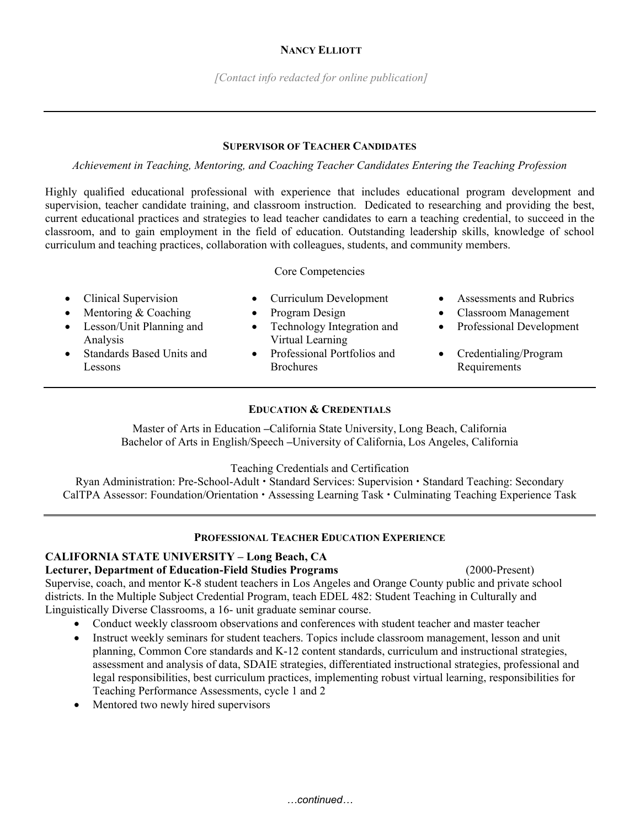*[Contact info redacted for online publication]* 

#### **SUPERVISOR OF TEACHER CANDIDATES**

*Achievement in Teaching, Mentoring, and Coaching Teacher Candidates Entering the Teaching Profession*

Highly qualified educational professional with experience that includes educational program development and supervision, teacher candidate training, and classroom instruction. Dedicated to researching and providing the best, current educational practices and strategies to lead teacher candidates to earn a teaching credential, to succeed in the classroom, and to gain employment in the field of education. Outstanding leadership skills, knowledge of school curriculum and teaching practices, collaboration with colleagues, students, and community members.

Core Competencies

- 
- 
- Lesson/Unit Planning and Analysis
- Standards Based Units and Lessons
- 
- Technology Integration and Virtual Learning
- Professional Portfolios and **Brochures**
- Clinical Supervision Curriculum Development Assessments and Rubrics
- Mentoring & Coaching Program Design Classroom Management
	- Professional Development
	- Credentialing/Program Requirements

## **EDUCATION & CREDENTIALS**

Master of Arts in Education **–**California State University, Long Beach, California Bachelor of Arts in English/Speech **–**University of California, Los Angeles, California

Teaching Credentials and Certification

Ryan Administration: Pre-School-Adult • Standard Services: Supervision • Standard Teaching: Secondary CalTPA Assessor: Foundation/Orientation • Assessing Learning Task • Culminating Teaching Experience Task

# **PROFESSIONAL TEACHER EDUCATION EXPERIENCE**

### **CALIFORNIA STATE UNIVERSITY – Long Beach, CA**

**Lecturer, Department of Education-Field Studies Programs** (2000-Present)

Supervise, coach, and mentor K-8 student teachers in Los Angeles and Orange County public and private school districts. In the Multiple Subject Credential Program, teach EDEL 482: Student Teaching in Culturally and Linguistically Diverse Classrooms, a 16- unit graduate seminar course.

- Conduct weekly classroom observations and conferences with student teacher and master teacher
- Instruct weekly seminars for student teachers. Topics include classroom management, lesson and unit planning, Common Core standards and K-12 content standards, curriculum and instructional strategies, assessment and analysis of data, SDAIE strategies, differentiated instructional strategies, professional and legal responsibilities, best curriculum practices, implementing robust virtual learning, responsibilities for Teaching Performance Assessments, cycle 1 and 2
- Mentored two newly hired supervisors